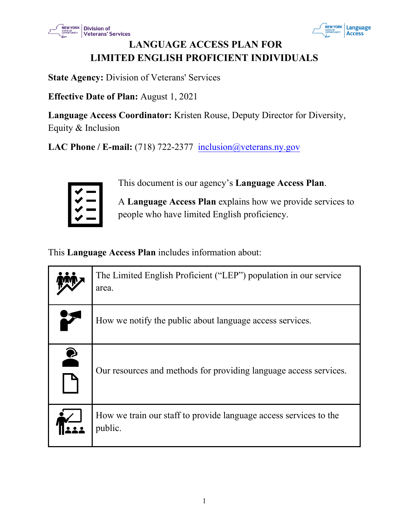



# **LANGUAGE ACCESS PLAN FOR LIMITED ENGLISH PROFICIENT INDIVIDUALS**

**State Agency:** Division of Veterans' Services

**Effective Date of Plan:** August 1, 2021

**Language Access Coordinator:** Kristen Rouse, Deputy Director for Diversity, Equity & Inclusion

**LAC Phone / E-mail:** (718) 722-2377 [inclusion@veterans.ny.gov](mailto:inclusion@veterans.ny.gov)



This document is our agency's **Language Access Plan**.

A **Language Access Plan** explains how we provide services to people who have limited English proficiency.

This **Language Access Plan** includes information about:

|        | The Limited English Proficient ("LEP") population in our service<br>area.    |
|--------|------------------------------------------------------------------------------|
|        | How we notify the public about language access services.                     |
| 2<br>A | Our resources and methods for providing language access services.            |
|        | How we train our staff to provide language access services to the<br>public. |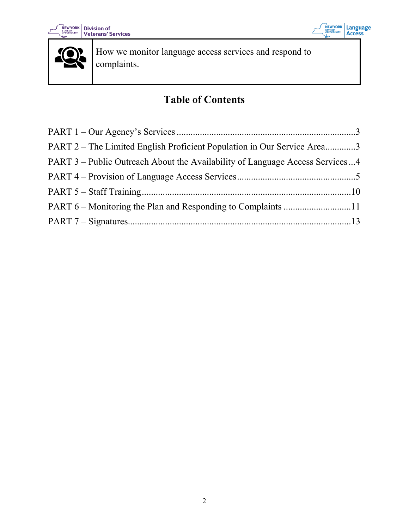





How we monitor language access services and respond to complaints.

# **Table of Contents**

| PART 2 – The Limited English Proficient Population in Our Service Area3      |  |
|------------------------------------------------------------------------------|--|
| PART 3 – Public Outreach About the Availability of Language Access Services4 |  |
|                                                                              |  |
|                                                                              |  |
|                                                                              |  |
|                                                                              |  |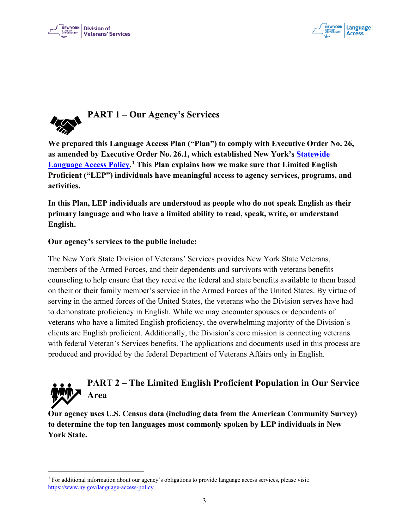



<span id="page-2-0"></span>

**We prepared this Language Access Plan ("Plan") to comply with Executive Order No. 26, as amended by Executive Order No. 26.1, which established New York's [Statewide](https://www.ny.gov/language-access-policy)  [Language Access Policy.](https://www.ny.gov/language-access-policy) [1](#page-2-2) This Plan explains how we make sure that Limited English Proficient ("LEP") individuals have meaningful access to agency services, programs, and activities.**

**In this Plan, LEP individuals are understood as people who do not speak English as their primary language and who have a limited ability to read, speak, write, or understand English.** 

#### **Our agency's services to the public include:**

The New York State Division of Veterans' Services provides New York State Veterans, members of the Armed Forces, and their dependents and survivors with veterans benefits counseling to help ensure that they receive the federal and state benefits available to them based on their or their family member's service in the Armed Forces of the United States. By virtue of serving in the armed forces of the United States, the veterans who the Division serves have had to demonstrate proficiency in English. While we may encounter spouses or dependents of veterans who have a limited English proficiency, the overwhelming majority of the Division's clients are English proficient. Additionally, the Division's core mission is connecting veterans with federal Veteran's Services benefits. The applications and documents used in this process are produced and provided by the federal Department of Veterans Affairs only in English.

# <span id="page-2-1"></span>**PART 2 – The Limited English Proficient Population in Our Service Area**

**Our agency uses U.S. Census data (including data from the American Community Survey) to determine the top ten languages most commonly spoken by LEP individuals in New York State.** 

<span id="page-2-2"></span><sup>1</sup> For additional information about our agency's obligations to provide language access services, please visit: <https://www.ny.gov/language-access-policy>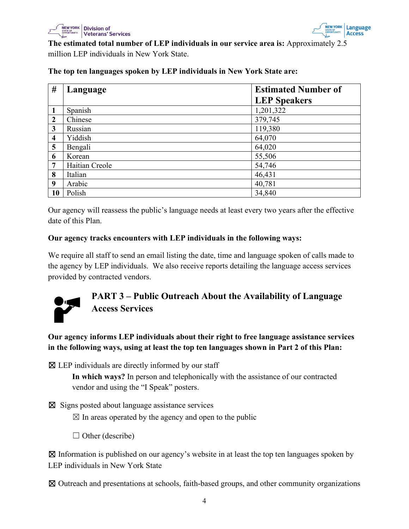



**The estimated total number of LEP individuals in our service area is:** Approximately 2.5 million LEP individuals in New York State.

**# Language Estimated Number of LEP Speakers** Spanish 1,201,322 Chinese 379,745 Russian 119,380 Yiddish 64,070 Bengali 64,020 Korean 55,506 | Haitian Creole 54,746 Italian 46,431 Arabic  $|40,781$ Polish 34,840

**The top ten languages spoken by LEP individuals in New York State are:**

Our agency will reassess the public's language needs at least every two years after the effective date of this Plan.

#### **Our agency tracks encounters with LEP individuals in the following ways:**

We require all staff to send an email listing the date, time and language spoken of calls made to the agency by LEP individuals. We also receive reports detailing the language access services provided by contracted vendors.



# <span id="page-3-0"></span>**PART 3 – Public Outreach About the Availability of Language Access Services**

**Our agency informs LEP individuals about their right to free language assistance services in the following ways, using at least the top ten languages shown in Part 2 of this Plan:** 

 $\boxtimes$  LEP individuals are directly informed by our staff

**In which ways?** In person and telephonically with the assistance of our contracted vendor and using the "I Speak" posters.

☒ Signs posted about language assistance services

 $\boxtimes$  In areas operated by the agency and open to the public

 $\Box$  Other (describe)

 $\boxtimes$  Information is published on our agency's website in at least the top ten languages spoken by LEP individuals in New York State

☒ Outreach and presentations at schools, faith-based groups, and other community organizations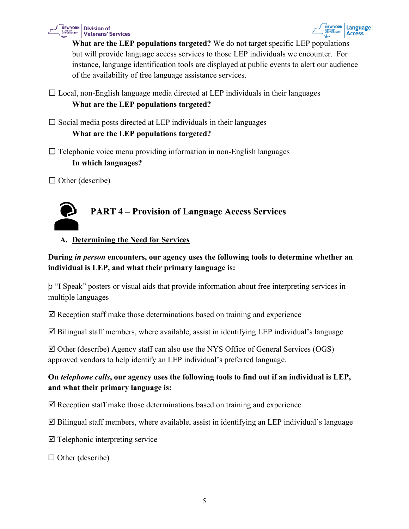



**What are the LEP populations targeted?** We do not target specific LEP populations but will provide language access services to those LEP individuals we encounter. For instance, language identification tools are displayed at public events to alert our audience of the availability of free language assistance services.

 $\Box$  Local, non-English language media directed at LEP individuals in their languages **What are the LEP populations targeted?**

 $\square$  Social media posts directed at LEP individuals in their languages

#### **What are the LEP populations targeted?**

 $\Box$  Telephonic voice menu providing information in non-English languages **In which languages?**

 $\Box$  Other (describe)



# <span id="page-4-0"></span>**PART 4 – Provision of Language Access Services**

#### **A. Determining the Need for Services**

#### **During** *in person* **encounters, our agency uses the following tools to determine whether an individual is LEP, and what their primary language is:**

þ "I Speak" posters or visual aids that provide information about free interpreting services in multiple languages

 $\boxtimes$  Reception staff make those determinations based on training and experience

 $\boxtimes$  Bilingual staff members, where available, assist in identifying LEP individual's language

 $\boxtimes$  Other (describe) Agency staff can also use the NYS Office of General Services (OGS) approved vendors to help identify an LEP individual's preferred language.

# **On** *telephone calls***, our agency uses the following tools to find out if an individual is LEP, and what their primary language is:**

 $\boxtimes$  Reception staff make those determinations based on training and experience

 $\boxtimes$  Bilingual staff members, where available, assist in identifying an LEP individual's language

- $\boxtimes$  Telephonic interpreting service
- $\Box$  Other (describe)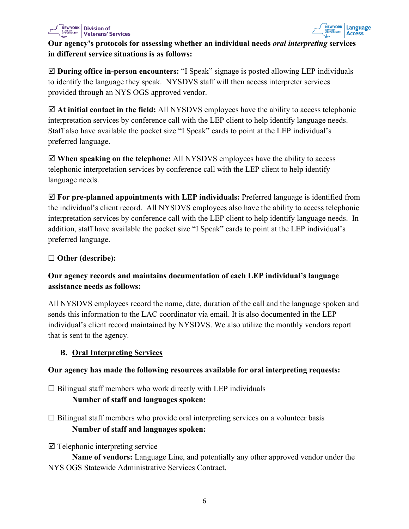



#### **Our agency's protocols for assessing whether an individual needs** *oral interpreting* **services in different service situations is as follows:**

 **During office in-person encounters:** "I Speak" signage is posted allowing LEP individuals to identify the language they speak. NYSDVS staff will then access interpreter services provided through an NYS OGS approved vendor.

 **At initial contact in the field:** All NYSDVS employees have the ability to access telephonic interpretation services by conference call with the LEP client to help identify language needs. Staff also have available the pocket size "I Speak" cards to point at the LEP individual's preferred language.

 **When speaking on the telephone:** All NYSDVS employees have the ability to access telephonic interpretation services by conference call with the LEP client to help identify language needs.

 **For pre-planned appointments with LEP individuals:** Preferred language is identified from the individual's client record. All NYSDVS employees also have the ability to access telephonic interpretation services by conference call with the LEP client to help identify language needs. In addition, staff have available the pocket size "I Speak" cards to point at the LEP individual's preferred language.

#### ☐ **Other (describe):**

# **Our agency records and maintains documentation of each LEP individual's language assistance needs as follows:**

All NYSDVS employees record the name, date, duration of the call and the language spoken and sends this information to the LAC coordinator via email. It is also documented in the LEP individual's client record maintained by NYSDVS. We also utilize the monthly vendors report that is sent to the agency.

#### **B. Oral Interpreting Services**

#### **Our agency has made the following resources available for oral interpreting requests:**

 $\Box$  Bilingual staff members who work directly with LEP individuals

# **Number of staff and languages spoken:**

- $\Box$  Bilingual staff members who provide oral interpreting services on a volunteer basis **Number of staff and languages spoken:**
- $\boxtimes$  Telephonic interpreting service

**Name of vendors:** Language Line, and potentially any other approved vendor under the NYS OGS Statewide Administrative Services Contract.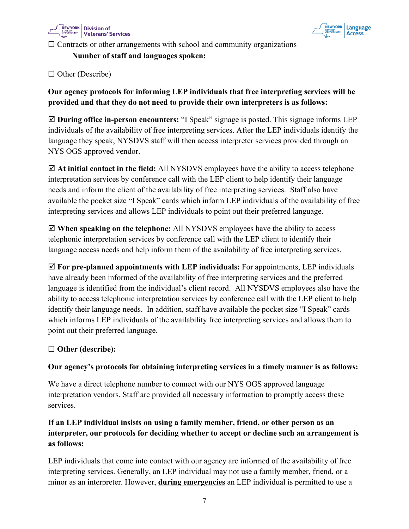



 $\Box$  Contracts or other arrangements with school and community organizations

**Number of staff and languages spoken:**

□ Other (Describe)

# **Our agency protocols for informing LEP individuals that free interpreting services will be provided and that they do not need to provide their own interpreters is as follows:**

 **During office in-person encounters:** "I Speak" signage is posted. This signage informs LEP individuals of the availability of free interpreting services. After the LEP individuals identify the language they speak, NYSDVS staff will then access interpreter services provided through an NYS OGS approved vendor.

 **At initial contact in the field:** All NYSDVS employees have the ability to access telephone interpretation services by conference call with the LEP client to help identify their language needs and inform the client of the availability of free interpreting services. Staff also have available the pocket size "I Speak" cards which inform LEP individuals of the availability of free interpreting services and allows LEP individuals to point out their preferred language.

 **When speaking on the telephone:** All NYSDVS employees have the ability to access telephonic interpretation services by conference call with the LEP client to identify their language access needs and help inform them of the availability of free interpreting services.

 **For pre-planned appointments with LEP individuals:** For appointments, LEP individuals have already been informed of the availability of free interpreting services and the preferred language is identified from the individual's client record. All NYSDVS employees also have the ability to access telephonic interpretation services by conference call with the LEP client to help identify their language needs. In addition, staff have available the pocket size "I Speak" cards which informs LEP individuals of the availability free interpreting services and allows them to point out their preferred language.

#### ☐ **Other (describe):**

#### **Our agency's protocols for obtaining interpreting services in a timely manner is as follows:**

We have a direct telephone number to connect with our NYS OGS approved language interpretation vendors. Staff are provided all necessary information to promptly access these services.

# **If an LEP individual insists on using a family member, friend, or other person as an interpreter, our protocols for deciding whether to accept or decline such an arrangement is as follows:**

LEP individuals that come into contact with our agency are informed of the availability of free interpreting services. Generally, an LEP individual may not use a family member, friend, or a minor as an interpreter. However, **during emergencies** an LEP individual is permitted to use a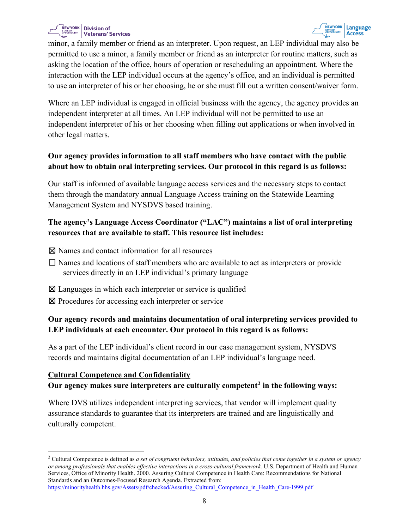

minor, a family member or friend as an interpreter. Upon request, an LEP individual may also be permitted to use a minor, a family member or friend as an interpreter for routine matters, such as asking the location of the office, hours of operation or rescheduling an appointment. Where the interaction with the LEP individual occurs at the agency's office, and an individual is permitted to use an interpreter of his or her choosing, he or she must fill out a written consent/waiver form.

Where an LEP individual is engaged in official business with the agency, the agency provides an independent interpreter at all times. An LEP individual will not be permitted to use an independent interpreter of his or her choosing when filling out applications or when involved in other legal matters.

# **Our agency provides information to all staff members who have contact with the public about how to obtain oral interpreting services. Our protocol in this regard is as follows:**

Our staff is informed of available language access services and the necessary steps to contact them through the mandatory annual Language Access training on the Statewide Learning Management System and NYSDVS based training.

### **The agency's Language Access Coordinator ("LAC") maintains a list of oral interpreting resources that are available to staff. This resource list includes:**

- ☒ Names and contact information for all resources
- $\Box$  Names and locations of staff members who are available to act as interpreters or provide services directly in an LEP individual's primary language
- ☒ Languages in which each interpreter or service is qualified
- ⊠ Procedures for accessing each interpreter or service

# **Our agency records and maintains documentation of oral interpreting services provided to LEP individuals at each encounter. Our protocol in this regard is as follows:**

As a part of the LEP individual's client record in our case management system, NYSDVS records and maintains digital documentation of an LEP individual's language need.

#### **Cultural Competence and Confidentiality**

#### **Our agency makes sure interpreters are culturally competent[2](#page-7-0) in the following ways:**

Where DVS utilizes independent interpreting services, that vendor will implement quality assurance standards to guarantee that its interpreters are trained and are linguistically and culturally competent.

<span id="page-7-0"></span><sup>2</sup> Cultural Competence is defined as *a set of congruent behaviors, attitudes, and policies that come together in a system or agency or among professionals that enables effective interactions in a cross-cultural framework.* U.S. Department of Health and Human Services, Office of Minority Health. 2000. Assuring Cultural Competence in Health Care: Recommendations for National Standards and an Outcomes-Focused Research Agenda. Extracted from: [https://minorityhealth.hhs.gov/Assets/pdf/checked/Assuring\\_Cultural\\_Competence\\_in\\_Health\\_Care-1999.pdf](https://minorityhealth.hhs.gov/Assets/pdf/checked/Assuring_Cultural_Competence_in_Health_Care-1999.pdf)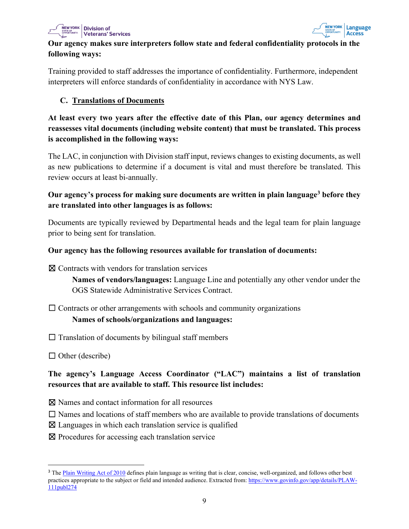



#### **Our agency makes sure interpreters follow state and federal confidentiality protocols in the following ways:**

Training provided to staff addresses the importance of confidentiality. Furthermore, independent interpreters will enforce standards of confidentiality in accordance with NYS Law.

#### **C. Translations of Documents**

**At least every two years after the effective date of this Plan, our agency determines and reassesses vital documents (including website content) that must be translated. This process is accomplished in the following ways:**

The LAC, in conjunction with Division staff input, reviews changes to existing documents, as well as new publications to determine if a document is vital and must therefore be translated. This review occurs at least bi-annually.

### **Our agency's process for making sure documents are written in plain languag[e3](#page-8-0) before they are translated into other languages is as follows:**

Documents are typically reviewed by Departmental heads and the legal team for plain language prior to being sent for translation.

#### **Our agency has the following resources available for translation of documents:**

☒ Contracts with vendors for translation services

**Names of vendors/languages:** Language Line and potentially any other vendor under the OGS Statewide Administrative Services Contract.

 $\Box$  Contracts or other arrangements with schools and community organizations **Names of schools/organizations and languages:**

 $\Box$  Translation of documents by bilingual staff members

 $\Box$  Other (describe)

# **The agency's Language Access Coordinator ("LAC") maintains a list of translation resources that are available to staff. This resource list includes:**

- ☒ Names and contact information for all resources
- $\Box$  Names and locations of staff members who are available to provide translations of documents
- $\boxtimes$  Languages in which each translation service is qualified
- ☒ Procedures for accessing each translation service

<span id="page-8-0"></span><sup>&</sup>lt;sup>3</sup> The [Plain Writing Act of 2010](https://www.govinfo.gov/app/details/PLAW-111publ274) defines plain language as writing that is clear, concise, well-organized, and follows other best practices appropriate to the subject or field and intended audience. Extracted from: [https://www.govinfo.gov/app/details/PLAW-](https://www.govinfo.gov/app/details/PLAW-111publ274)[111publ274](https://www.govinfo.gov/app/details/PLAW-111publ274)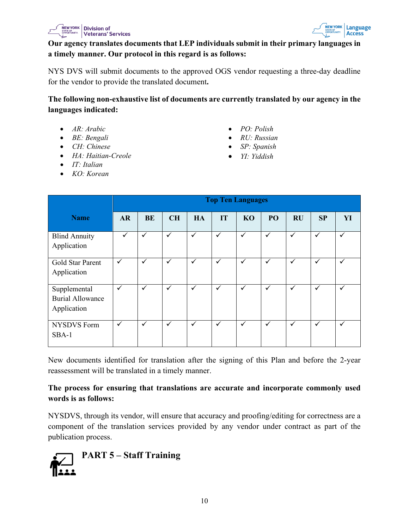



#### **Our agency translates documents that LEP individuals submit in their primary languages in a timely manner. Our protocol in this regard is as follows:**

NYS DVS will submit documents to the approved OGS vendor requesting a three-day deadline for the vendor to provide the translated document**.**

**The following non-exhaustive list of documents are currently translated by our agency in the languages indicated:**

- *AR: Arabic*
- *BE: Bengali*
- *CH: Chinese*
- *HA: Haitian-Creole*
- *IT: Italian*
- *KO: Korean*
- *PO: Polish*
- *RU: Russian*
- *SP: Spanish*
- *YI: Yiddish*

|                                                        | <b>Top Ten Languages</b> |              |              |              |              |              |              |              |              |              |
|--------------------------------------------------------|--------------------------|--------------|--------------|--------------|--------------|--------------|--------------|--------------|--------------|--------------|
| <b>Name</b>                                            | <b>AR</b>                | <b>BE</b>    | <b>CH</b>    | HA           | IT           | <b>KO</b>    | PO           | RU           | SP           | YI           |
| <b>Blind Annuity</b><br>Application                    | $\checkmark$             | $\checkmark$ | ✓            | $\checkmark$ | $\checkmark$ | $\checkmark$ | $\checkmark$ | $\checkmark$ | $\checkmark$ | $\checkmark$ |
| Gold Star Parent<br>Application                        | $\checkmark$             | $\checkmark$ | ✓            | $\checkmark$ | $\checkmark$ | ✓            | $\checkmark$ | $\checkmark$ | $\checkmark$ | $\checkmark$ |
| Supplemental<br><b>Burial Allowance</b><br>Application | $\checkmark$             | $\checkmark$ | $\checkmark$ | $\checkmark$ | $\checkmark$ | $\checkmark$ | $\checkmark$ | $\checkmark$ | $\checkmark$ | $\checkmark$ |
| <b>NYSDVS</b> Form<br>$SBA-1$                          | $\checkmark$             | $\checkmark$ | $\checkmark$ | $\checkmark$ | $\checkmark$ | $\checkmark$ | $\checkmark$ | $\checkmark$ | $\checkmark$ | $\checkmark$ |

New documents identified for translation after the signing of this Plan and before the 2-year reassessment will be translated in a timely manner.

#### **The process for ensuring that translations are accurate and incorporate commonly used words is as follows:**

NYSDVS, through its vendor, will ensure that accuracy and proofing/editing for correctness are a component of the translation services provided by any vendor under contract as part of the publication process.

<span id="page-9-0"></span>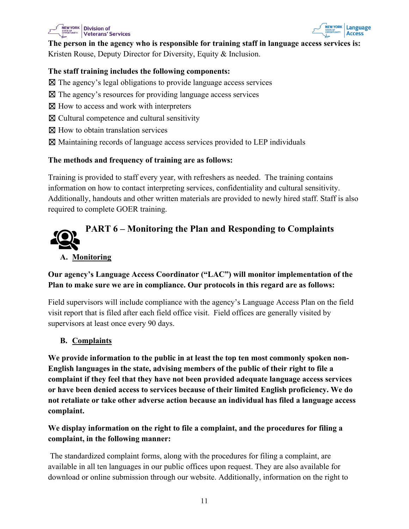



**The person in the agency who is responsible for training staff in language access services is:** Kristen Rouse, Deputy Director for Diversity, Equity & Inclusion.

#### **The staff training includes the following components:**

- ☒ The agency's legal obligations to provide language access services
- ☒ The agency's resources for providing language access services
- ⊠ How to access and work with interpreters
- $\boxtimes$  Cultural competence and cultural sensitivity
- ☒ How to obtain translation services
- ☒ Maintaining records of language access services provided to LEP individuals

#### **The methods and frequency of training are as follows:**

Training is provided to staff every year, with refreshers as needed. The training contains information on how to contact interpreting services, confidentiality and cultural sensitivity. Additionally, handouts and other written materials are provided to newly hired staff. Staff is also required to complete GOER training.

# <span id="page-10-0"></span>**PART 6 – Monitoring the Plan and Responding to Complaints A. Monitoring**

#### **Our agency's Language Access Coordinator ("LAC") will monitor implementation of the Plan to make sure we are in compliance. Our protocols in this regard are as follows:**

Field supervisors will include compliance with the agency's Language Access Plan on the field visit report that is filed after each field office visit. Field offices are generally visited by supervisors at least once every 90 days.

#### **B. Complaints**

**We provide information to the public in at least the top ten most commonly spoken non-English languages in the state, advising members of the public of their right to file a complaint if they feel that they have not been provided adequate language access services or have been denied access to services because of their limited English proficiency. We do not retaliate or take other adverse action because an individual has filed a language access complaint.** 

#### **We display information on the right to file a complaint, and the procedures for filing a complaint, in the following manner:**

 The standardized complaint forms, along with the procedures for filing a complaint, are available in all ten languages in our public offices upon request. They are also available for download or online submission through our website. Additionally, information on the right to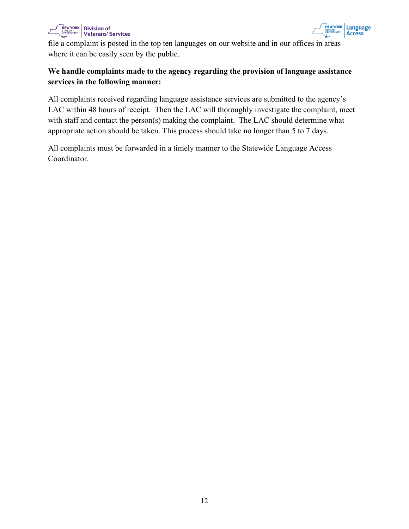



file a complaint is posted in the top ten languages on our website and in our offices in areas where it can be easily seen by the public.

#### **We handle complaints made to the agency regarding the provision of language assistance services in the following manner:**

All complaints received regarding language assistance services are submitted to the agency's LAC within 48 hours of receipt. Then the LAC will thoroughly investigate the complaint, meet with staff and contact the person(s) making the complaint. The LAC should determine what appropriate action should be taken. This process should take no longer than 5 to 7 days.

<span id="page-11-0"></span>All complaints must be forwarded in a timely manner to the Statewide Language Access Coordinator.